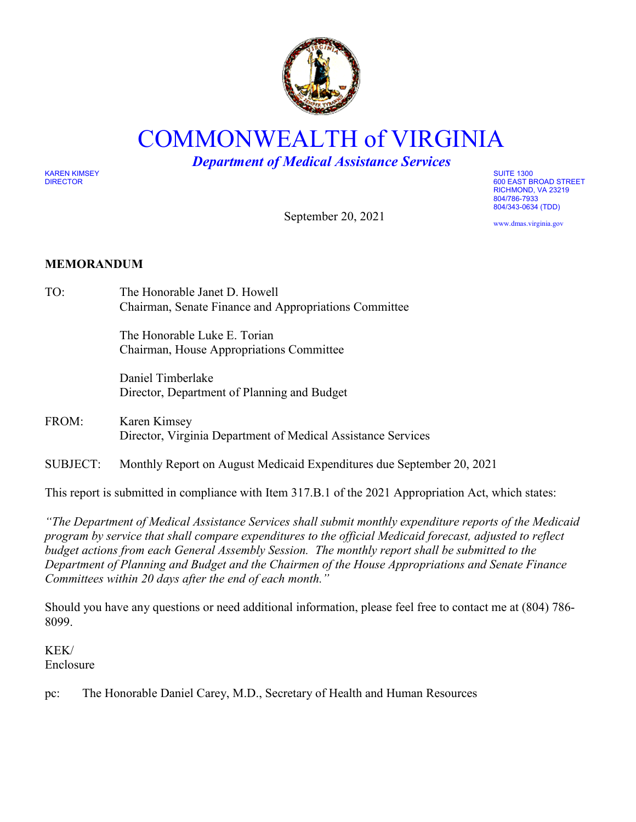

## COMMONWEALTH of VIRGINIA

*Department of Medical Assistance Services*

September 20, 2021

KAREN KIMSEY SUITE 1300

DIRECTOR 600 EAST BROAD STREET RICHMOND, VA 23219 804/786-7933 804/343-0634 (TDD)

www.dmas.virginia.gov

## **MEMORANDUM**

TO: The Honorable Janet D. Howell Chairman, Senate Finance and Appropriations Committee

> The Honorable Luke E. Torian Chairman, House Appropriations Committee

Daniel Timberlake Director, Department of Planning and Budget

- FROM: Karen Kimsey Director, Virginia Department of Medical Assistance Services
- SUBJECT: Monthly Report on August Medicaid Expenditures due September 20, 2021

This report is submitted in compliance with Item 317.B.1 of the 2021 Appropriation Act, which states:

*"The Department of Medical Assistance Services shall submit monthly expenditure reports of the Medicaid program by service that shall compare expenditures to the official Medicaid forecast, adjusted to reflect budget actions from each General Assembly Session. The monthly report shall be submitted to the Department of Planning and Budget and the Chairmen of the House Appropriations and Senate Finance Committees within 20 days after the end of each month."* 

Should you have any questions or need additional information, please feel free to contact me at (804) 786- 8099.

KEK/ Enclosure

pc: The Honorable Daniel Carey, M.D., Secretary of Health and Human Resources